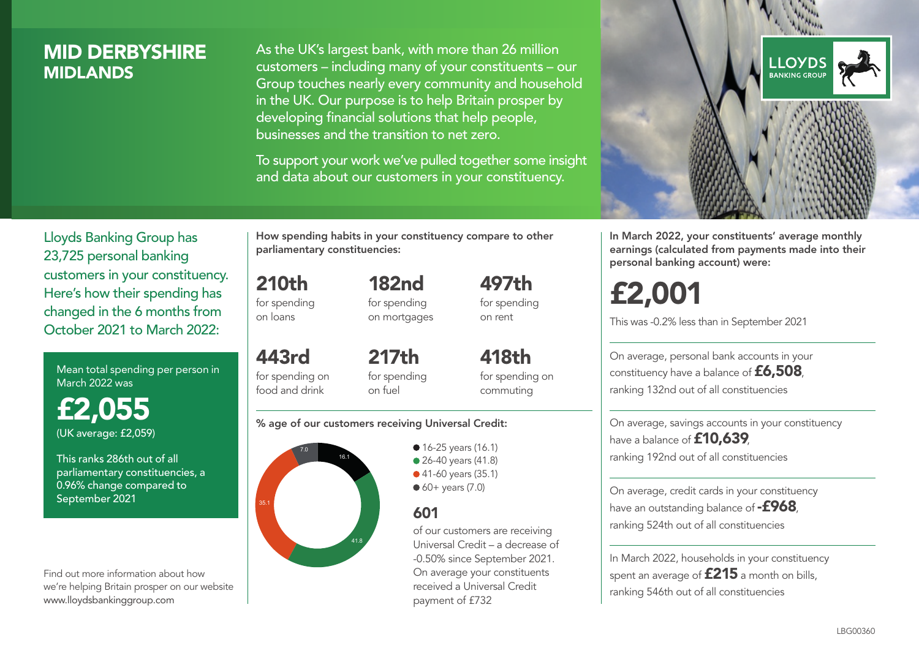# MID DERBYSHIRE **MIDI ANDS**

As the UK's largest bank, with more than 26 million customers – including many of your constituents – our Group touches nearly every community and household in the UK. Our purpose is to help Britain prosper by developing financial solutions that help people, businesses and the transition to net zero.

To support your work we've pulled together some insight and data about our customers in your constituency.



In March 2022, your constituents' average monthly earnings (calculated from payments made into their personal banking account) were:

# £2,001

This was -0.2% less than in September 2021

On average, personal bank accounts in your constituency have a balance of £6,508, ranking 132nd out of all constituencies

On average, savings accounts in your constituency have a balance of **£10,639** ranking 192nd out of all constituencies

On average, credit cards in your constituency have an outstanding balance of **-£968** ranking 524th out of all constituencies

In March 2022, households in your constituency spent an average of £215 a month on bills, ranking 546th out of all constituencies

Lloyds Banking Group has 23,725 personal banking customers in your constituency. Here's how their spending has changed in the 6 months from October 2021 to March 2022:

Mean total spending per person in March 2022 was

£2,055 (UK average: £2,059)

This ranks 286th out of all parliamentary constituencies, a 0.96% change compared to September 2021

Find out more information about how we're helping Britain prosper on our website www.lloydsbankinggroup.com

How spending habits in your constituency compare to other parliamentary constituencies:

> 182nd for spending

210th for spending on loans

on mortgages 443rd

for spending on food and drink 217th for spending on fuel

for spending on commuting

418th

497th for spending on rent

#### % age of our customers receiving Universal Credit:



**16-25 years (16.1)** • 26-40 years (41.8) ● 41-60 years (35.1)

 $60+$  years  $(7.0)$ 

# 601

of our customers are receiving Universal Credit – a decrease of -0.50% since September 2021. On average your constituents received a Universal Credit payment of £732